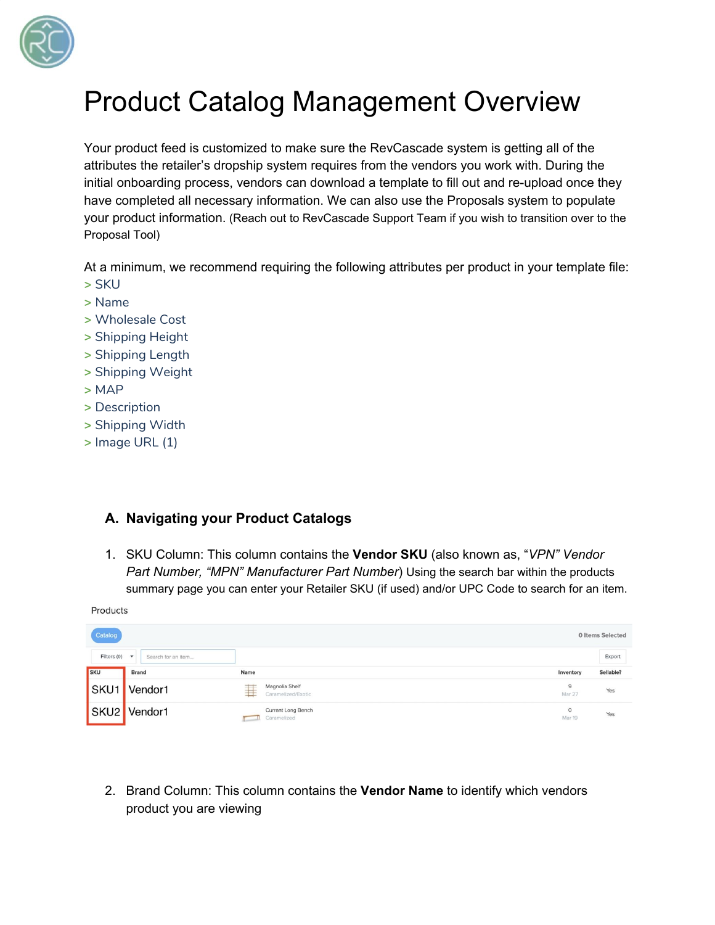

# Product Catalog Management Overview

Your product feed is customized to make sure the RevCascade system is getting all of the attributes the retailer's dropship system requires from the vendors you work with. During the initial onboarding process, vendors can download a template to fill out and re-upload once they have completed all necessary information. We can also use the Proposals system to populate your product information. (Reach out to RevCascade Support Team if you wish to transition over to the Proposal Tool)

At a minimum, we recommend requiring the following attributes per product in your template file: **>** SKU

- **>** Name
- **>** Wholesale Cost
- **>** Shipping Height
- **>** Shipping Length
- **>** Shipping Weight
- **>** MAP
- **>** Description
- **>** Shipping Width
- **>** Image URL (1)

## **A. Navigating your Product Catalogs**

1. SKU Column: This column contains the **Vendor SKU** (also known as, "*VPN" Vendor Part Number, "MPN" Manufacturer Part Number*) Using the search bar within the products summary page you can enter your Retailer SKU (if used) and/or UPC Code to search for an item.

Products

| Catalog<br><b>0 Items Selected</b> |                                    |      |                                      |                   |           |  |  |
|------------------------------------|------------------------------------|------|--------------------------------------|-------------------|-----------|--|--|
| Filters (0)                        | $\check{}\;$<br>Search for an item |      |                                      |                   | Export    |  |  |
| <b>SKU</b>                         | <b>Brand</b>                       | Name |                                      | Inventory         | Sellable? |  |  |
| SKU <sub>1</sub>                   | Vendor1                            | ⋣    | Magnolia Shelf<br>Caramelized/Exotic | 9<br>Mar 27       | Yes       |  |  |
|                                    | SKU2 Vendor1                       |      | Currant Long Bench<br>Caramelized    | $\circ$<br>Mar 19 | Yes       |  |  |

2. Brand Column: This column contains the **Vendor Name** to identify which vendors product you are viewing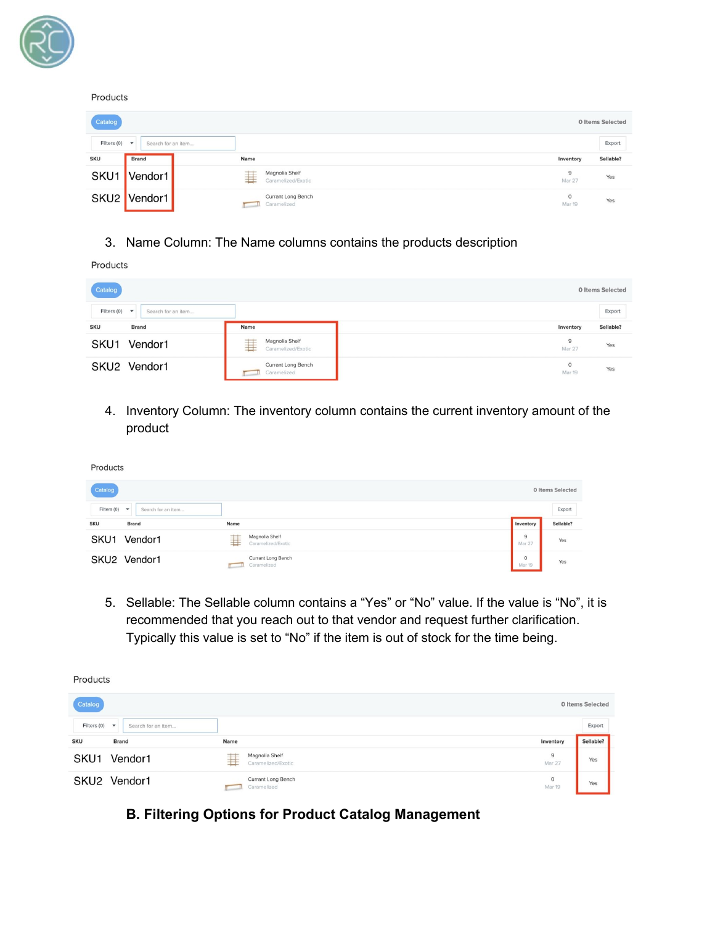

#### Products

| Catalog<br>0 Items Selected |                                                |      |                                          |                   |           |  |  |
|-----------------------------|------------------------------------------------|------|------------------------------------------|-------------------|-----------|--|--|
| Filters (0)                 | Search for an item<br>$\overline{\phantom{a}}$ |      |                                          |                   | Export    |  |  |
| <b>SKU</b>                  | <b>Brand</b>                                   | Name |                                          | Inventory         | Sellable? |  |  |
| SKU1                        | Vendor1                                        | 坓    | Magnolia Shelf<br>Caramelized/Exotic     | 9<br>Mar 27       | Yes       |  |  |
|                             | SKU2 Vendor1                                   |      | <b>Currant Long Bench</b><br>Caramelized | $\circ$<br>Mar 19 | Yes       |  |  |

### 3. Name Column: The Name columns contains the products description

Products

 $\mathbb{R}$  .

| Catalog                             |                    |              |                                      |                   | 0 Items Selected |
|-------------------------------------|--------------------|--------------|--------------------------------------|-------------------|------------------|
| Filters $(0)$ $\blacktriangleright$ | Search for an item |              |                                      |                   | Export           |
| <b>SKU</b>                          | <b>Brand</b>       | Name         |                                      | Inventory         | Sellable?        |
| SKU1                                | Vendor1            | ⋣            | Magnolia Shelf<br>Caramelized/Exotic | 9<br>Mar 27       | Yes              |
|                                     | SKU2 Vendor1       | $\mathbf{H}$ | Currant Long Bench<br>Caramelized    | $\circ$<br>Mar 19 | Yes              |

4. Inventory Column: The inventory column contains the current inventory amount of the product

| Products                           |                    |                |                                      |                          |                  |
|------------------------------------|--------------------|----------------|--------------------------------------|--------------------------|------------------|
| Catalog                            |                    |                |                                      |                          | 0 Items Selected |
| Filters $(0)$ $\blacktriangledown$ | Search for an item |                |                                      |                          | Export           |
| <b>SKU</b>                         | <b>Brand</b>       | Name           |                                      | Inventory                | Sellable?        |
| SKU <sub>1</sub>                   | Vendor1            | $-+$<br>$^{+}$ | Magnolia Shelf<br>Caramelized/Exotic | 9<br><b>Mar 27</b>       | Yes              |
|                                    | SKU2 Vendor1       |                | Currant Long Bench<br>Caramelized    | $\circ$<br><b>Mar 19</b> | Yes              |

5. Sellable: The Sellable column contains a "Yes" or "No" value. If the value is "No", it is recommended that you reach out to that vendor and request further clarification. Typically this value is set to "No" if the item is out of stock for the time being.

| Products                            |                    |      |                                      |                          |                  |  |
|-------------------------------------|--------------------|------|--------------------------------------|--------------------------|------------------|--|
| Catalog                             |                    |      |                                      |                          | 0 Items Selected |  |
| Filters $(0)$ $\blacktriangleright$ | Search for an item |      |                                      |                          | Export           |  |
| <b>SKU</b>                          | <b>Brand</b>       | Name |                                      | Inventory                | Sellable?        |  |
| SKU1                                | Vendor1            | 荓    | Magnolia Shelf<br>Caramelized/Exotic | $\overline{9}$<br>Mar 27 | Yes              |  |
|                                     | SKU2 Vendor1       |      | Currant Long Bench<br>Caramelized    | $\circ$<br>Mar 19        | Yes              |  |

**B. Filtering Options for Product Catalog Management**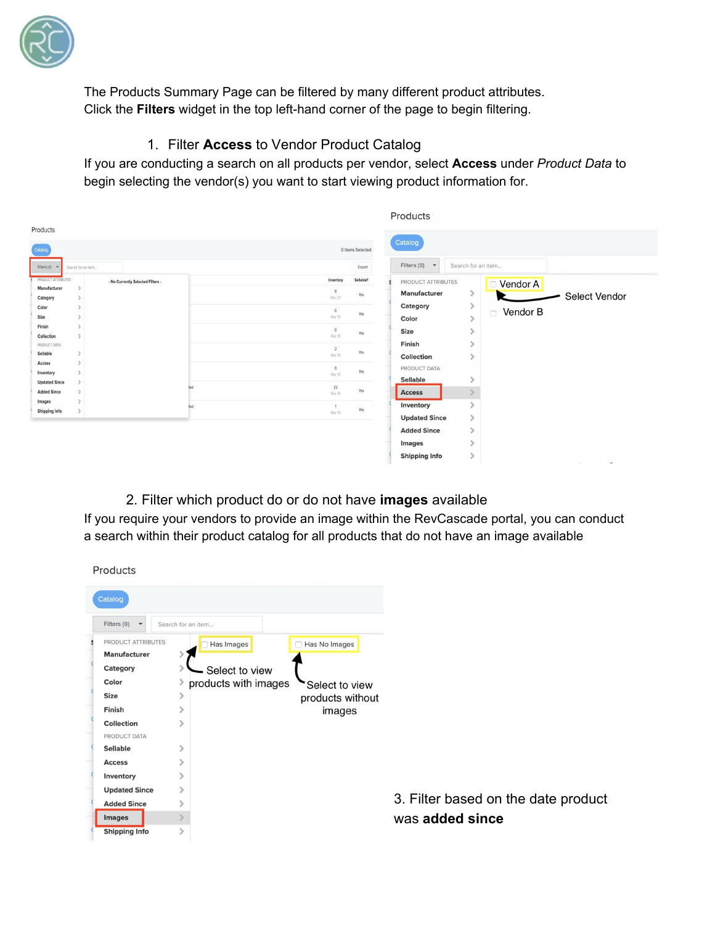

The Products Summary Page can be filtered by many different product attributes. Click the **Filters** widget in the top left-hand corner of the page to begin filtering.

## 1. Filter **Access** to Vendor Product Catalog

If you are conducting a search on all products per vendor, select **Access** under *Product Data* to begin selecting the vendor(s) you want to start viewing product information for.

|                              |                    |                                   |                                 |                  | Products                            |                    |                    |                      |
|------------------------------|--------------------|-----------------------------------|---------------------------------|------------------|-------------------------------------|--------------------|--------------------|----------------------|
| Products                     |                    |                                   |                                 |                  |                                     |                    |                    |                      |
| Catalog                      |                    |                                   |                                 | 0 Items Selected | Catalog                             |                    |                    |                      |
| Filters (0)                  | Search for an item |                                   |                                 | Export           | Filters (0)<br>$\blacktriangledown$ | Search for an item |                    |                      |
| PRODUCT ATTRIBUTES           |                    | - No Currently Selected Filters - | Inventory                       | Sellable?        | PRODUCT ATTRIBUTES                  |                    | □ Vendor A         |                      |
| Manufacturer<br>Category     |                    |                                   | 9<br>Mar 27                     | Yes              | <b>Manufacturer</b>                 |                    |                    | <b>Select Vendor</b> |
| Color                        |                    |                                   | $\circ$                         |                  | Category                            | $\rightarrow$      | Vendor B<br>$\Box$ |                      |
| Size                         |                    |                                   | Mar 19                          | Yes              | Color                               |                    |                    |                      |
| Finish<br>Collection         |                    |                                   | $\circ$<br>Mar 19               | Yes              | Size                                |                    |                    |                      |
| PRODUCT DATA                 |                    |                                   | $\overline{a}$                  | Yes              | Finish                              |                    |                    |                      |
| Sellable<br>Access           |                    |                                   | Mar 19                          |                  | Collection                          | ١                  |                    |                      |
| Inventory                    |                    |                                   | $\circ$<br>Mar 19               | Yes              | PRODUCT DATA                        |                    |                    |                      |
| <b>Updated Since</b>         |                    |                                   | $22\,$<br>łed                   | Yes              | Sellable                            |                    |                    |                      |
| <b>Added Since</b><br>Images |                    |                                   | Mar 19                          |                  | <b>Access</b>                       |                    |                    |                      |
| <b>Shipping Info</b>         |                    |                                   | bed<br>$\overline{1}$<br>Mar 19 | Yes              | Inventory                           |                    |                    |                      |
|                              |                    |                                   |                                 |                  | <b>Updated Since</b>                | $\mathcal{P}$      |                    |                      |
|                              |                    |                                   |                                 |                  | <b>Added Since</b>                  |                    |                    |                      |
|                              |                    |                                   |                                 |                  | Images                              |                    |                    |                      |
|                              |                    |                                   |                                 |                  | <b>Shipping Info</b>                |                    |                    |                      |

## 2. Filter which product do or do not have **images** available

If you require your vendors to provide an image within the RevCascade portal, you can conduct a search within their product catalog for all products that do not have an image available

| Products                           |   |                                        |                                     |
|------------------------------------|---|----------------------------------------|-------------------------------------|
| Catalog                            |   |                                        |                                     |
| Filters $(0)$ $\blacktriangledown$ |   | Search for an item                     |                                     |
| PRODUCT ATTRIBUTES<br>Manufacturer |   | Has Images<br>□ Has No Images          |                                     |
| Category                           |   | Select to view                         |                                     |
| Color                              | ⋗ | products with images<br>Select to view |                                     |
| <b>Size</b>                        |   | products without                       |                                     |
| Finish                             |   | images                                 |                                     |
| Collection                         |   |                                        |                                     |
| PRODUCT DATA                       |   |                                        |                                     |
| <b>Sellable</b>                    |   |                                        |                                     |
| <b>Access</b>                      |   |                                        |                                     |
| Inventory                          |   |                                        |                                     |
| <b>Updated Since</b>               |   |                                        |                                     |
| <b>Added Since</b>                 |   |                                        | 3. Filter based on the date product |
| <b>Images</b>                      |   |                                        | was added since                     |
| <b>Shipping Info</b>               |   |                                        |                                     |